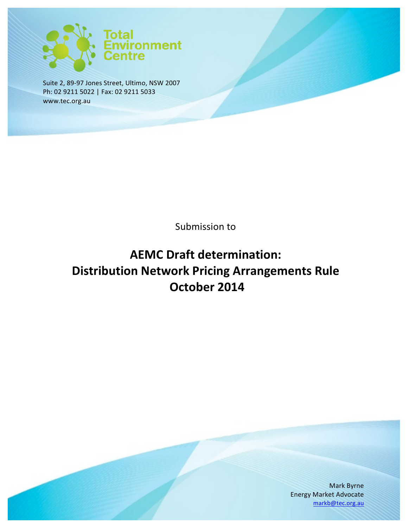

Suite 2, 89-97 Jones Street, Ultimo, NSW 2007 Ph: 02 9211 5022 | Fax: 02 9211 5033 www.tec.org.au

Submission to

# **AEMC Draft determination: Distribution Network Pricing Arrangements Rule October 2014**

Mark Byrne Energy Market Advocate markb@tec.org.au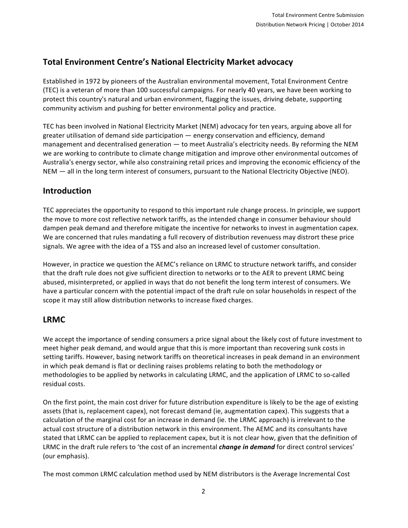# **Total Environment Centre's National Electricity Market advocacy**

Established in 1972 by pioneers of the Australian environmental movement, Total Environment Centre (TEC) is a veteran of more than 100 successful campaigns. For nearly 40 years, we have been working to protect this country's natural and urban environment, flagging the issues, driving debate, supporting community activism and pushing for better environmental policy and practice.

TEC has been involved in National Electricity Market (NEM) advocacy for ten years, arguing above all for greater utilisation of demand side participation  $-$  energy conservation and efficiency, demand management and decentralised generation  $-$  to meet Australia's electricity needs. By reforming the NEM we are working to contribute to climate change mitigation and improve other environmental outcomes of Australia's energy sector, while also constraining retail prices and improving the economic efficiency of the NEM — all in the long term interest of consumers, pursuant to the National Electricity Objective (NEO).

## **Introduction**

TEC appreciates the opportunity to respond to this important rule change process. In principle, we support the move to more cost reflective network tariffs, as the intended change in consumer behaviour should dampen peak demand and therefore mitigate the incentive for networks to invest in augmentation capex. We are concerned that rules mandating a full recovery of distribution revenuess may distrort these price signals. We agree with the idea of a TSS and also an increased level of customer consultation.

However, in practice we question the AEMC's reliance on LRMC to structure network tariffs, and consider that the draft rule does not give sufficient direction to networks or to the AER to prevent LRMC being abused, misinterpreted, or applied in ways that do not benefit the long term interest of consumers. We have a particular concern with the potential impact of the draft rule on solar households in respect of the scope it may still allow distribution networks to increase fixed charges.

#### **LRMC**

We accept the importance of sending consumers a price signal about the likely cost of future investment to meet higher peak demand, and would argue that this is more important than recovering sunk costs in setting tariffs. However, basing network tariffs on theoretical increases in peak demand in an environment in which peak demand is flat or declining raises problems relating to both the methodology or methodologies to be applied by networks in calculating LRMC, and the application of LRMC to so-called residual costs.

On the first point, the main cost driver for future distribution expenditure is likely to be the age of existing assets (that is, replacement capex), not forecast demand (ie, augmentation capex). This suggests that a calculation of the marginal cost for an increase in demand (ie. the LRMC approach) is irrelevant to the actual cost structure of a distribution network in this environment. The AEMC and its consultants have stated that LRMC can be applied to replacement capex, but it is not clear how, given that the definition of LRMC in the draft rule refers to 'the cost of an incremental *change in demand* for direct control services' (our emphasis).

The most common LRMC calculation method used by NEM distributors is the Average Incremental Cost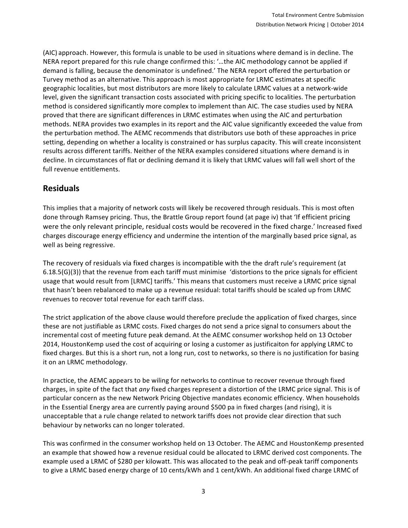(AIC) approach. However, this formula is unable to be used in situations where demand is in decline. The NERA report prepared for this rule change confirmed this: '...the AIC methodology cannot be applied if demand is falling, because the denominator is undefined.' The NERA report offered the perturbation or Turvey method as an alternative. This approach is most appropriate for LRMC estimates at specific geographic localities, but most distributors are more likely to calculate LRMC values at a network-wide level, given the significant transaction costs associated with pricing specific to localities. The perturbation method is considered significantly more complex to implement than AIC. The case studies used by NERA proved that there are significant differences in LRMC estimates when using the AIC and perturbation methods. NERA provides two examples in its report and the AIC value significantly exceeded the value from the perturbation method. The AEMC recommends that distributors use both of these approaches in price setting, depending on whether a locality is constrained or has surplus capacity. This will create inconsistent results across different tariffs. Neither of the NERA examples considered situations where demand is in decline. In circumstances of flat or declining demand it is likely that LRMC values will fall well short of the full revenue entitlements.

## **Residuals**

This implies that a majority of network costs will likely be recovered through residuals. This is most often done through Ramsey pricing. Thus, the Brattle Group report found (at page iv) that 'If efficient pricing were the only relevant principle, residual costs would be recovered in the fixed charge.' Increased fixed charges discourage energy efficiency and undermine the intention of the marginally based price signal, as well as being regressive.

The recovery of residuals via fixed charges is incompatible with the the draft rule's requirement (at  $6.18.5(G)(3)$ ) that the revenue from each tariff must minimise 'distortions to the price signals for efficient usage that would result from [LRMC] tariffs.' This means that customers must receive a LRMC price signal that hasn't been rebalanced to make up a revenue residual: total tariffs should be scaled up from LRMC revenues to recover total revenue for each tariff class.

The strict application of the above clause would therefore preclude the application of fixed charges, since these are not justifiable as LRMC costs. Fixed charges do not send a price signal to consumers about the incremental cost of meeting future peak demand. At the AEMC consumer workshop held on 13 October 2014, HoustonKemp used the cost of acquiring or losing a customer as justificaiton for applying LRMC to fixed charges. But this is a short run, not a long run, cost to networks, so there is no justification for basing it on an LRMC methodology.

In practice, the AEMC appears to be wiling for networks to continue to recover revenue through fixed charges, in spite of the fact that *any* fixed charges represent a distortion of the LRMC price signal. This is of particular concern as the new Network Pricing Objective mandates economic efficiency. When households in the Essential Energy area are currently paying around \$500 pa in fixed charges (and rising), it is unacceptable that a rule change related to network tariffs does not provide clear direction that such behaviour by networks can no longer tolerated.

This was confirmed in the consumer workshop held on 13 October. The AEMC and HoustonKemp presented an example that showed how a revenue residual could be allocated to LRMC derived cost components. The example used a LRMC of \$280 per kilowatt. This was allocated to the peak and off-peak tariff components to give a LRMC based energy charge of 10 cents/kWh and 1 cent/kWh. An additional fixed charge LRMC of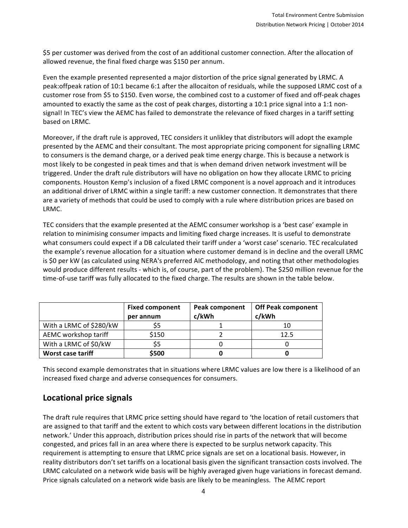\$5 per customer was derived from the cost of an additional customer connection. After the allocation of allowed revenue, the final fixed charge was \$150 per annum.

Even the example presented represented a major distortion of the price signal generated by LRMC. A peak:offpeak ration of 10:1 became 6:1 after the allocaiton of residuals, while the supposed LRMC cost of a customer rose from \$5 to \$150. Even worse, the combined cost to a customer of fixed and off-peak chages amounted to exactly the same as the cost of peak charges, distorting a 10:1 price signal into a 1:1 nonsignal! In TEC's view the AEMC has failed to demonstrate the relevance of fixed charges in a tariff setting based on LRMC.

Moreover, if the draft rule is approved, TEC considers it unlikley that distributors will adopt the example presented by the AEMC and their consultant. The most appropriate pricing component for signalling LRMC to consumers is the demand charge, or a derived peak time energy charge. This is because a network is most likely to be congested in peak times and that is when demand driven network investment will be triggered. Under the draft rule distributors will have no obligation on how they allocate LRMC to pricing components. Houston Kemp's inclusion of a fixed LRMC component is a novel approach and it introduces an additional driver of LRMC within a single tariff: a new customer connection. It demonstrates that there are a variety of methods that could be used to comply with a rule where distribution prices are based on LRMC.

TEC considers that the example presented at the AEMC consumer workshop is a 'best case' example in relation to minimising consumer impacts and limiting fixed charge increases. It is useful to demonstrate what consumers could expect if a DB calculated their tariff under a 'worst case' scenario. TEC recalculated the example's revenue allocation for a situation where customer demand is in decline and the overall LRMC is \$0 per kW (as calculated using NERA's preferred AIC methodology, and noting that other methodologies would produce different results - which is, of course, part of the problem). The \$250 million revenue for the time-of-use tariff was fully allocated to the fixed charge. The results are shown in the table below.

|                         | <b>Fixed component</b><br>per annum | Peak component<br>c/kWh | <b>Off Peak component</b><br>c/kWh |
|-------------------------|-------------------------------------|-------------------------|------------------------------------|
| With a LRMC of \$280/kW | S5                                  |                         |                                    |
| AEMC workshop tariff    | \$150                               |                         | 12.5                               |
| With a LRMC of \$0/kW   | S5                                  |                         |                                    |
| Worst case tariff       | \$500                               |                         |                                    |

This second example demonstrates that in situations where LRMC values are low there is a likelihood of an increased fixed charge and adverse consequences for consumers.

#### Locational price signals

The draft rule requires that LRMC price setting should have regard to 'the location of retail customers that are assigned to that tariff and the extent to which costs vary between different locations in the distribution network.' Under this approach, distribution prices should rise in parts of the network that will become congested, and prices fall in an area where there is expected to be surplus network capacity. This requirement is attempting to ensure that LRMC price signals are set on a locational basis. However, in reality distributors don't set tariffs on a locational basis given the significant transaction costs involved. The LRMC calculated on a network wide basis will be highly averaged given huge variations in forecast demand. Price signals calculated on a network wide basis are likely to be meaningless. The AEMC report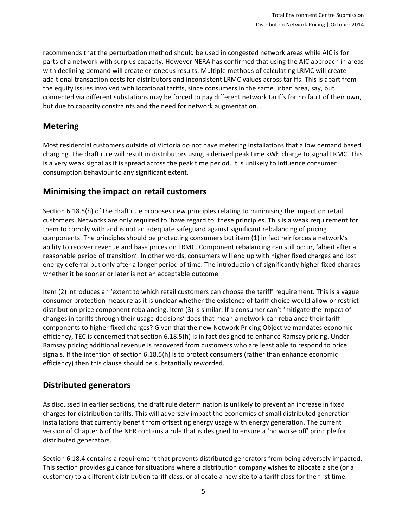recommends that the perturbation method should be used in congested network areas while AIC is for parts of a network with surplus capacity. However NERA has confirmed that using the AIC approach in areas with declining demand will create erroneous results. Multiple methods of calculating LRMC will create additional transaction costs for distributors and inconsistent LRMC values across tariffs. This is apart from the equity issues involved with locational tariffs, since consumers in the same urban area, say, but connected via different substations may be forced to pay different network tariffs for no fault of their own, but due to capacity constraints and the need for network augmentation.

#### **Metering**

Most residential customers outside of Victoria do not have metering installations that allow demand based charging. The draft rule will result in distributors using a derived peak time kWh charge to signal LRMC. This is a very weak signal as it is spread across the peak time period. It is unlikely to influence consumer consumption behaviour to any significant extent.

#### **Minimising the impact on retail customers**

Section 6.18.5(h) of the draft rule proposes new principles relating to minimising the impact on retail customers. Networks are only required to 'have regard to' these principles. This is a weak requirement for them to comply with and is not an adequate safeguard against significant rebalancing of pricing components. The principles should be protecting consumers but item (1) in fact reinforces a network's ability to recover revenue and base prices on LRMC. Component rebalancing can still occur, 'albeit after a reasonable period of transition'. In other words, consumers will end up with higher fixed charges and lost energy deferral but only after a longer period of time. The introduction of significantly higher fixed charges whether it be sooner or later is not an acceptable outcome.

Item (2) introduces an 'extent to which retail customers can choose the tariff' requirement. This is a vague consumer protection measure as it is unclear whether the existence of tariff choice would allow or restrict distribution price component rebalancing. Item (3) is similar. If a consumer can't 'mitigate the impact of changes in tariffs through their usage decisions' does that mean a network can rebalance their tariff components to higher fixed charges? Given that the new Network Pricing Objective mandates economic efficiency, TEC is concerned that section 6.18.5(h) is in fact designed to enhance Ramsay pricing. Under Ramsay pricing additional revenue is recovered from customers who are least able to respond to price signals. If the intention of section  $6.18.5(h)$  is to protect consumers (rather than enhance economic efficiency) then this clause should be substantially reworded.

#### **Distributed generators**

As discussed in earlier sections, the draft rule determination is unlikely to prevent an increase in fixed charges for distribution tariffs. This will adversely impact the economics of small distributed generation installations that currently benefit from offsetting energy usage with energy generation. The current version of Chapter 6 of the NER contains a rule that is designed to ensure a 'no worse off' principle for distributed generators.

Section 6.18.4 contains a requirement that prevents distributed generators from being adversely impacted. This section provides guidance for situations where a distribution company wishes to allocate a site (or a customer) to a different distribution tariff class, or allocate a new site to a tariff class for the first time.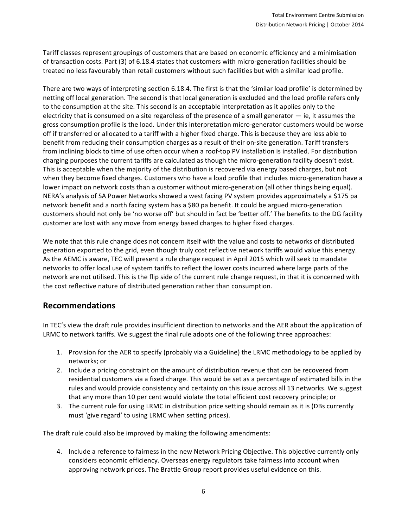Tariff classes represent groupings of customers that are based on economic efficiency and a minimisation of transaction costs. Part (3) of 6.18.4 states that customers with micro-generation facilities should be treated no less favourably than retail customers without such facilities but with a similar load profile.

There are two ways of interpreting section 6.18.4. The first is that the 'similar load profile' is determined by netting off local generation. The second is that local generation is excluded and the load profile refers only to the consumption at the site. This second is an acceptable interpretation as it applies only to the electricity that is consumed on a site regardless of the presence of a small generator  $-$  ie, it assumes the gross consumption profile is the load. Under this interpretation micro-generator customers would be worse off if transferred or allocated to a tariff with a higher fixed charge. This is because they are less able to benefit from reducing their consumption charges as a result of their on-site generation. Tariff transfers from inclining block to time of use often occur when a roof-top PV installation is installed. For distribution charging purposes the current tariffs are calculated as though the micro-generation facility doesn't exist. This is acceptable when the majority of the distribution is recovered via energy based charges, but not when they become fixed charges. Customers who have a load profile that includes micro-generation have a lower impact on network costs than a customer without micro-generation (all other things being equal). NERA's analysis of SA Power Networks showed a west facing PV system provides approximately a \$175 pa network benefit and a north facing system has a \$80 pa benefit. It could be argued micro-generation customers should not only be 'no worse off' but should in fact be 'better off.' The benefits to the DG facility customer are lost with any move from energy based charges to higher fixed charges.

We note that this rule change does not concern itself with the value and costs to networks of distributed generation exported to the grid, even though truly cost reflective network tariffs would value this energy. As the AEMC is aware, TEC will present a rule change request in April 2015 which will seek to mandate networks to offer local use of system tariffs to reflect the lower costs incurred where large parts of the network are not utilised. This is the flip side of the current rule change request, in that it is concerned with the cost reflective nature of distributed generation rather than consumption.

#### **Recommendations**

In TEC's view the draft rule provides insufficient direction to networks and the AER about the application of LRMC to network tariffs. We suggest the final rule adopts one of the following three approaches:

- 1. Provision for the AER to specify (probably via a Guideline) the LRMC methodology to be applied by networks; or
- 2. Include a pricing constraint on the amount of distribution revenue that can be recovered from residential customers via a fixed charge. This would be set as a percentage of estimated bills in the rules and would provide consistency and certainty on this issue across all 13 networks. We suggest that any more than 10 per cent would violate the total efficient cost recovery principle; or
- 3. The current rule for using LRMC in distribution price setting should remain as it is (DBs currently must 'give regard' to using LRMC when setting prices).

The draft rule could also be improved by making the following amendments:

4. Include a reference to fairness in the new Network Pricing Objective. This objective currently only considers economic efficiency. Overseas energy regulators take fairness into account when approving network prices. The Brattle Group report provides useful evidence on this.